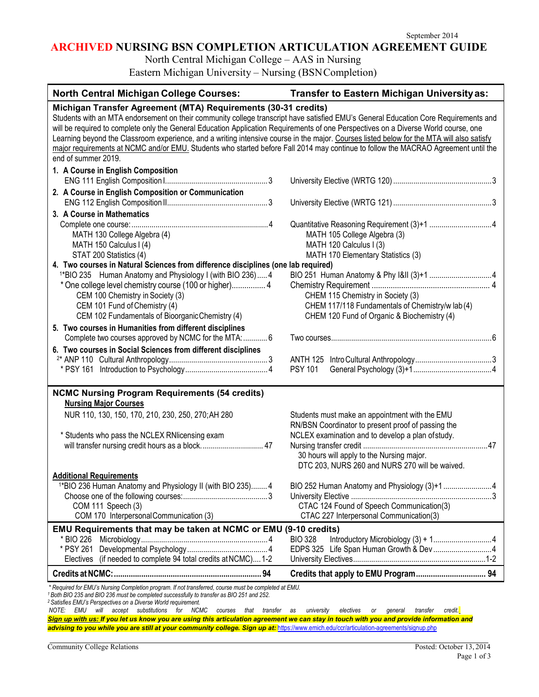# **ARCHIVED NURSING BSN COMPLETION ARTICULATION AGREEMENT GUIDE**

North Central Michigan College – AAS in Nursing

Eastern Michigan University – Nursing (BSNCompletion)

| <b>North Central Michigan College Courses:</b>                                                                                                                                                                                                                                                                                                                                                                                                                                                                                                                                                                                                         | Transfer to Eastern Michigan University as:                                                                                                      |
|--------------------------------------------------------------------------------------------------------------------------------------------------------------------------------------------------------------------------------------------------------------------------------------------------------------------------------------------------------------------------------------------------------------------------------------------------------------------------------------------------------------------------------------------------------------------------------------------------------------------------------------------------------|--------------------------------------------------------------------------------------------------------------------------------------------------|
| Michigan Transfer Agreement (MTA) Requirements (30-31 credits)<br>Students with an MTA endorsement on their community college transcript have satisfied EMU's General Education Core Requirements and<br>will be required to complete only the General Education Application Requirements of one Perspectives on a Diverse World course, one<br>Learning beyond the Classroom experience, and a writing intensive course in the major. Courses listed below for the MTA will also satisfy<br>major requirements at NCMC and/or EMU. Students who started before Fall 2014 may continue to follow the MACRAO Agreement until the<br>end of summer 2019. |                                                                                                                                                  |
| 1. A Course in English Composition                                                                                                                                                                                                                                                                                                                                                                                                                                                                                                                                                                                                                     |                                                                                                                                                  |
| 2. A Course in English Composition or Communication                                                                                                                                                                                                                                                                                                                                                                                                                                                                                                                                                                                                    |                                                                                                                                                  |
| 3. A Course in Mathematics                                                                                                                                                                                                                                                                                                                                                                                                                                                                                                                                                                                                                             |                                                                                                                                                  |
| MATH 130 College Algebra (4)<br>MATH 150 Calculus I (4)<br>STAT 200 Statistics (4)                                                                                                                                                                                                                                                                                                                                                                                                                                                                                                                                                                     | MATH 105 College Algebra (3)<br>MATH 120 Calculus I (3)<br>MATH 170 Elementary Statistics (3)                                                    |
| 4. Two courses in Natural Sciences from difference disciplines (one lab required)                                                                                                                                                                                                                                                                                                                                                                                                                                                                                                                                                                      |                                                                                                                                                  |
| <sup>1*</sup> BIO 235 Human Anatomy and Physiology I (with BIO 236) 4<br>* One college level chemistry course (100 or higher) 4<br>CEM 100 Chemistry in Society (3)<br>CEM 101 Fund of Chemistry (4)<br>CEM 102 Fundamentals of Bioorganic Chemistry (4)                                                                                                                                                                                                                                                                                                                                                                                               | CHEM 115 Chemistry in Society (3)<br>CHEM 117/118 Fundamentals of Chemistry/w lab (4)<br>CHEM 120 Fund of Organic & Biochemistry (4)             |
| 5. Two courses in Humanities from different disciplines<br>Complete two courses approved by NCMC for the MTA:  6                                                                                                                                                                                                                                                                                                                                                                                                                                                                                                                                       |                                                                                                                                                  |
| 6. Two courses in Social Sciences from different disciplines                                                                                                                                                                                                                                                                                                                                                                                                                                                                                                                                                                                           | <b>PSY 101</b>                                                                                                                                   |
| <b>NCMC Nursing Program Requirements (54 credits)</b><br><b>Nursing Major Courses</b>                                                                                                                                                                                                                                                                                                                                                                                                                                                                                                                                                                  |                                                                                                                                                  |
| NUR 110, 130, 150, 170, 210, 230, 250, 270; AH 280                                                                                                                                                                                                                                                                                                                                                                                                                                                                                                                                                                                                     | Students must make an appointment with the EMU<br>RN/BSN Coordinator to present proof of passing the                                             |
| * Students who pass the NCLEX RNIicensing exam<br>will transfer nursing credit hours as a block 47                                                                                                                                                                                                                                                                                                                                                                                                                                                                                                                                                     | NCLEX examination and to develop a plan of study.<br>30 hours will apply to the Nursing major.<br>DTC 203, NURS 260 and NURS 270 will be waived. |
| <b>Additional Requirements</b>                                                                                                                                                                                                                                                                                                                                                                                                                                                                                                                                                                                                                         |                                                                                                                                                  |
| <sup>1*</sup> BIO 236 Human Anatomy and Physiology II (with BIO 235) 4<br>COM 111 Speech (3)<br>COM 170 Interpersonal Communication (3)                                                                                                                                                                                                                                                                                                                                                                                                                                                                                                                | CTAC 124 Found of Speech Communication(3)<br>CTAC 227 Interpersonal Communication(3)                                                             |
| EMU Requirements that may be taken at NCMC or EMU (9-10 credits)                                                                                                                                                                                                                                                                                                                                                                                                                                                                                                                                                                                       |                                                                                                                                                  |
| * BIO 226<br>(if needed to complete 94 total credits at NCMC) 1-2<br>Electives                                                                                                                                                                                                                                                                                                                                                                                                                                                                                                                                                                         | <b>BIO 328</b><br>EDPS 325 Life Span Human Growth & Dev4                                                                                         |
|                                                                                                                                                                                                                                                                                                                                                                                                                                                                                                                                                                                                                                                        |                                                                                                                                                  |
| * Required for EMU's Nursing Completion program. If not transferred, course must be completed at EMU.<br>$^{\rm 1}$ Both BIO 235 and BIO 236 must be completed successfully to transfer as BIO 251 and 252.<br><sup>2</sup> Satisfies EMU's Perspectives on a Diverse World requirement.<br>will accept substitutions for NCMC courses<br>NOTE:<br>EMU<br>that<br>transfer                                                                                                                                                                                                                                                                             | credit.<br>university<br>electives<br>transfer<br>as<br>or<br>general                                                                            |

*Sign up with us: If you let us know you are using this articulation agreement we can stay in touch with you and provide information and* advising to you while you are still at your community college. Sign up at: <https://www.emich.edu/ccr/articulation-agreements/signup.php>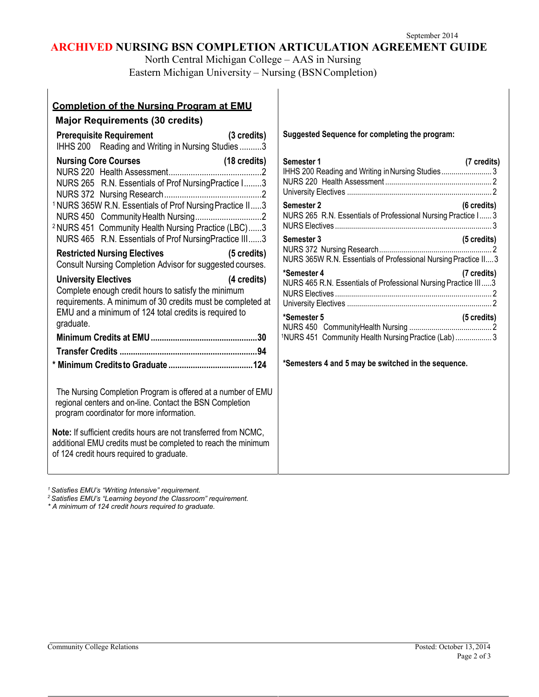# **ARCHIVED NURSING BSN COMPLETION ARTICULATION AGREEMENT GUIDE**

North Central Michigan College – AAS in Nursing Eastern Michigan University – Nursing (BSNCompletion)

| <b>Completion of the Nursing Program at EMU</b>                                                                                                                                                                                                                                                      |                  |
|------------------------------------------------------------------------------------------------------------------------------------------------------------------------------------------------------------------------------------------------------------------------------------------------------|------------------|
| <b>Major Requirements (30 credits)</b>                                                                                                                                                                                                                                                               |                  |
| (3 credits)<br><b>Prerequisite Requirement</b><br>IHHS 200 Reading and Writing in Nursing Studies3                                                                                                                                                                                                   | ś                |
| <b>Nursing Core Courses</b><br>(18 credits)<br>NURS 265 R.N. Essentials of Prof NursingPractice I3<br><sup>1</sup> NURS 365W R.N. Essentials of Prof Nursing Practice II3<br><sup>2</sup> NURS 451 Community Health Nursing Practice (LBC)3<br>NURS 465 R.N. Essentials of Prof NursingPractice III3 | ş<br>I<br>ľ<br>ľ |
| <b>Restricted Nursing Electives</b><br>(5 credits)<br>Consult Nursing Completion Advisor for suggested courses.                                                                                                                                                                                      | ź                |
| <b>University Electives</b><br>(4 credits)<br>Complete enough credit hours to satisfy the minimum<br>requirements. A minimum of 30 credits must be completed at<br>EMU and a minimum of 124 total credits is required to<br>graduate.                                                                |                  |
|                                                                                                                                                                                                                                                                                                      | 1                |
|                                                                                                                                                                                                                                                                                                      | $\star$          |
| The Nursing Completion Program is offered at a number of EMU<br>regional centers and on-line. Contact the BSN Completion<br>program coordinator for more information.                                                                                                                                |                  |
| Note: If sufficient credits hours are not transferred from NCMC,<br>additional EMU credits must be completed to reach the minimum<br>of 124 credit hours required to graduate.                                                                                                                       |                  |

**Suggested Sequence for completing the program:**

| <b>Semester 1</b><br>(7 credits)<br>IHHS 200 Reading and Writing in Nursing Studies3                          |
|---------------------------------------------------------------------------------------------------------------|
| Semester 2<br>$(6 \text{ credits})$<br>NURS 265 R.N. Essentials of Professional Nursing Practice I 3          |
| <b>Semester 3</b><br>$(5 \text{ credits})$<br>NURS 365W R.N. Essentials of Professional Nursing Practice II 3 |
| *Semester 4<br>(7 credits)<br>NURS 465 R.N. Essentials of Professional Nursing Practice III3                  |
| *Semester 5<br>$(5 \text{ credits})$<br>1NURS 451 Community Health Nursing Practice (Lab)  3                  |
| *Semesters 4 and 5 may be switched in the sequence.                                                           |

*1 Satisfies EMU's "Writing Intensive" requirement.*

*2 Satisfies EMU's "Learning beyond the Classroom" requirement.*

*\* A minimum of 124 credit hours required to graduate.*